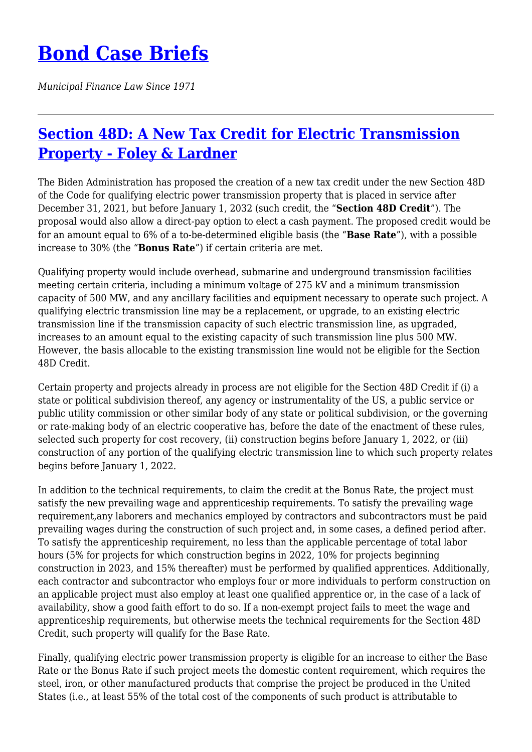## **[Bond Case Briefs](https://bondcasebriefs.com)**

*Municipal Finance Law Since 1971*

## **[Section 48D: A New Tax Credit for Electric Transmission](https://bondcasebriefs.com/2021/11/16/tax/section-48d-a-new-tax-credit-for-electric-transmission-property-foley-lardner/) [Property - Foley & Lardner](https://bondcasebriefs.com/2021/11/16/tax/section-48d-a-new-tax-credit-for-electric-transmission-property-foley-lardner/)**

The Biden Administration has proposed the creation of a new tax credit under the new Section 48D of the Code for qualifying electric power transmission property that is placed in service after December 31, 2021, but before January 1, 2032 (such credit, the "**Section 48D Credit**"). The proposal would also allow a direct-pay option to elect a cash payment. The proposed credit would be for an amount equal to 6% of a to-be-determined eligible basis (the "**Base Rate**"), with a possible increase to 30% (the "**Bonus Rate**") if certain criteria are met.

Qualifying property would include overhead, submarine and underground transmission facilities meeting certain criteria, including a minimum voltage of 275 kV and a minimum transmission capacity of 500 MW, and any ancillary facilities and equipment necessary to operate such project. A qualifying electric transmission line may be a replacement, or upgrade, to an existing electric transmission line if the transmission capacity of such electric transmission line, as upgraded, increases to an amount equal to the existing capacity of such transmission line plus 500 MW. However, the basis allocable to the existing transmission line would not be eligible for the Section 48D Credit.

Certain property and projects already in process are not eligible for the Section 48D Credit if (i) a state or political subdivision thereof, any agency or instrumentality of the US, a public service or public utility commission or other similar body of any state or political subdivision, or the governing or rate-making body of an electric cooperative has, before the date of the enactment of these rules, selected such property for cost recovery, (ii) construction begins before January 1, 2022, or (iii) construction of any portion of the qualifying electric transmission line to which such property relates begins before January 1, 2022.

In addition to the technical requirements, to claim the credit at the Bonus Rate, the project must satisfy the new prevailing wage and apprenticeship requirements. To satisfy the prevailing wage requirement,any laborers and mechanics employed by contractors and subcontractors must be paid prevailing wages during the construction of such project and, in some cases, a defined period after. To satisfy the apprenticeship requirement, no less than the applicable percentage of total labor hours (5% for projects for which construction begins in 2022, 10% for projects beginning construction in 2023, and 15% thereafter) must be performed by qualified apprentices. Additionally, each contractor and subcontractor who employs four or more individuals to perform construction on an applicable project must also employ at least one qualified apprentice or, in the case of a lack of availability, show a good faith effort to do so. If a non-exempt project fails to meet the wage and apprenticeship requirements, but otherwise meets the technical requirements for the Section 48D Credit, such property will qualify for the Base Rate.

Finally, qualifying electric power transmission property is eligible for an increase to either the Base Rate or the Bonus Rate if such project meets the domestic content requirement, which requires the steel, iron, or other manufactured products that comprise the project be produced in the United States (i.e., at least 55% of the total cost of the components of such product is attributable to